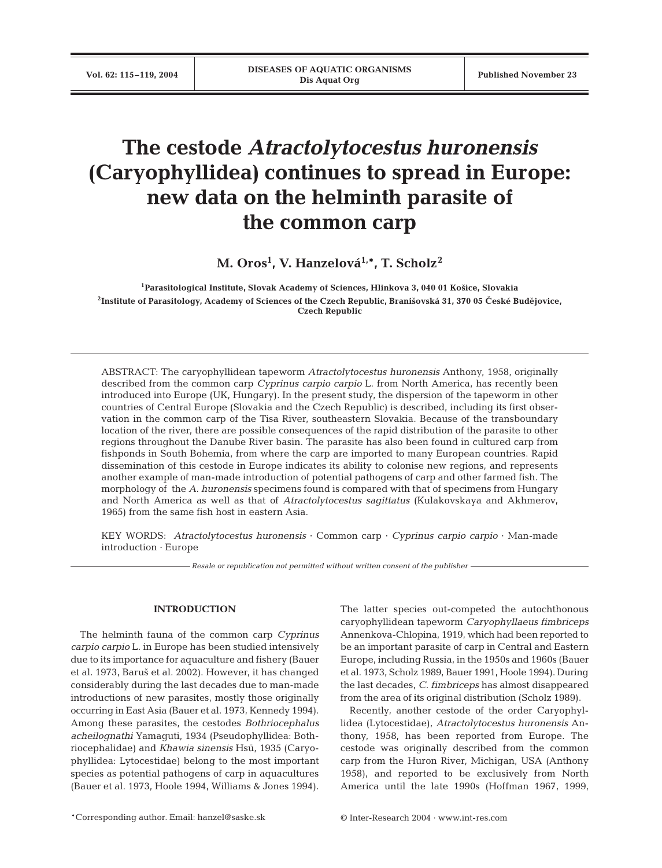# **The cestode** *Atractolytocestus huronensis* **(Caryophyllidea) continues to spread in Europe: new data on the helminth parasite of the common carp**

**M. Oros1 , V. Hanzelová1,\*, T. Scholz2**

**1Parasitological Institute, Slovak Academy of Sciences, Hlinkova 3, 040 01 Ko\$ice, Slovakia**  $2$ Institute of Parasitology, Academy of Sciences of the Czech Republic, Branišovská 31, 370 05 České Budějovice, **Czech Republic**

ABSTRACT: The caryophyllidean tapeworm *Atractolytocestus huronensis* Anthony, 1958, originally described from the common carp *Cyprinus carpio carpio* L. from North America, has recently been introduced into Europe (UK, Hungary). In the present study, the dispersion of the tapeworm in other countries of Central Europe (Slovakia and the Czech Republic) is described, including its first observation in the common carp of the Tisa River, southeastern Slovakia. Because of the transboundary location of the river, there are possible consequences of the rapid distribution of the parasite to other regions throughout the Danube River basin. The parasite has also been found in cultured carp from fishponds in South Bohemia, from where the carp are imported to many European countries. Rapid dissemination of this cestode in Europe indicates its ability to colonise new regions, and represents another example of man-made introduction of potential pathogens of carp and other farmed fish. The morphology of the *A. huronensis* specimens found is compared with that of specimens from Hungary and North America as well as that of *Atractolytocestus sagittatus* (Kulakovskaya and Akhmerov, 1965) from the same fish host in eastern Asia.

KEY WORDS: *Atractolytocestus huronensis* · Common carp · *Cyprinus carpio carpio* · Man-made introduction · Europe

*Resale or republication not permitted without written consent of the publisher*

## **INTRODUCTION**

The helminth fauna of the common carp *Cyprinus carpio carpio* L. in Europe has been studied intensively due to its importance for aquaculture and fishery (Bauer et al. 1973, Baru\$ et al. 2002). However, it has changed considerably during the last decades due to man-made introductions of new parasites, mostly those originally occurring in East Asia (Bauer et al. 1973, Kennedy 1994). Among these parasites, the cestodes *Bothriocephalus acheilognathi* Yamaguti, 1934 (Pseudophyllidea: Bothriocephalidae) and *Khawia sinensis* Hsü, 1935 (Caryophyllidea: Lytocestidae) belong to the most important species as potential pathogens of carp in aquacultures (Bauer et al. 1973, Hoole 1994, Williams & Jones 1994). The latter species out-competed the autochthonous caryophyllidean tapeworm *Caryophyllaeus fimbriceps* Annenkova-Chlopina, 1919, which had been reported to be an important parasite of carp in Central and Eastern Europe, including Russia, in the 1950s and 1960s (Bauer et al. 1973, Scholz 1989, Bauer 1991, Hoole 1994). During the last decades, *C. fimbriceps* has almost disappeared from the area of its original distribution (Scholz 1989).

Recently, another cestode of the order Caryophyllidea (Lytocestidae), *Atractolytocestus huronensis* Anthony, 1958, has been reported from Europe. The cestode was originally described from the common carp from the Huron River, Michigan, USA (Anthony 1958), and reported to be exclusively from North America until the late 1990s (Hoffman 1967, 1999,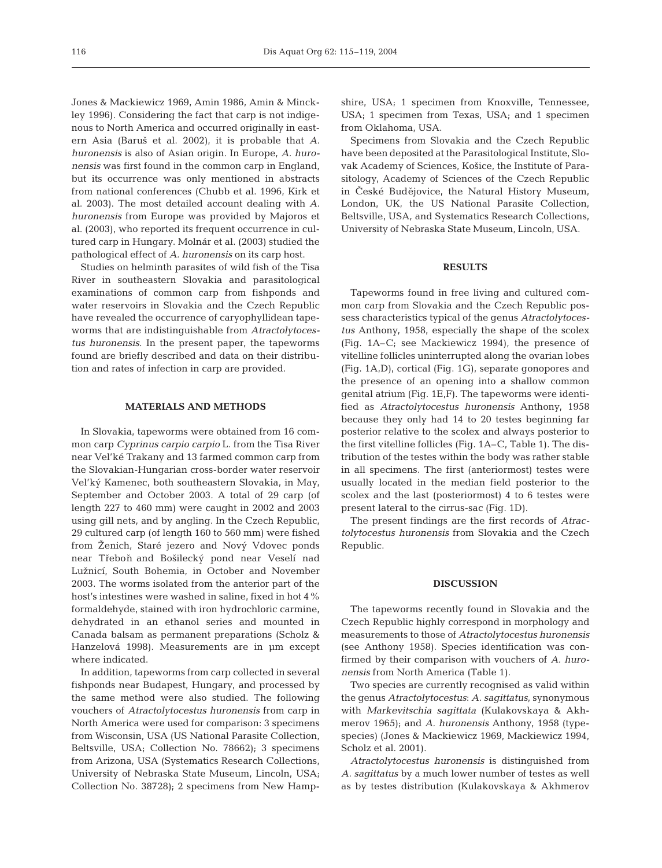Jones & Mackiewicz 1969, Amin 1986, Amin & Minckley 1996). Considering the fact that carp is not indigenous to North America and occurred originally in eastern Asia (Baru\$ et al. 2002), it is probable that *A. huronensis* is also of Asian origin. In Europe, *A. huronensis* was first found in the common carp in England, but its occurrence was only mentioned in abstracts from national conferences (Chubb et al. 1996, Kirk et al. 2003). The most detailed account dealing with *A. huronensis* from Europe was provided by Majoros et al. (2003), who reported its frequent occurrence in cultured carp in Hungary. Molnár et al. (2003) studied the pathological effect of *A. huronensis* on its carp host.

Studies on helminth parasites of wild fish of the Tisa River in southeastern Slovakia and parasitological examinations of common carp from fishponds and water reservoirs in Slovakia and the Czech Republic have revealed the occurrence of caryophyllidean tapeworms that are indistinguishable from *Atractolytocestus huronensis*. In the present paper, the tapeworms found are briefly described and data on their distribution and rates of infection in carp are provided.

#### **MATERIALS AND METHODS**

In Slovakia, tapeworms were obtained from 16 common carp *Cyprinus carpio carpio* L. from the Tisa River near Vel'ké Trakany and 13 farmed common carp from the Slovakian-Hungarian cross-border water reservoir Vel'ký Kamenec, both southeastern Slovakia, in May, September and October 2003. A total of 29 carp (of length 227 to 460 mm) were caught in 2002 and 2003 using gill nets, and by angling. In the Czech Republic, 29 cultured carp (of length 160 to 560 mm) were fished from Ženich, Staré jezero and Nový Vdovec ponds near Třeboň and Bošilecký pond near Veselí nad Lužnicí, South Bohemia, in October and November 2003. The worms isolated from the anterior part of the host's intestines were washed in saline, fixed in hot 4% formaldehyde, stained with iron hydrochloric carmine, dehydrated in an ethanol series and mounted in Canada balsam as permanent preparations (Scholz & Hanzelová 1998). Measurements are in µm except where indicated.

In addition, tapeworms from carp collected in several fishponds near Budapest, Hungary, and processed by the same method were also studied. The following vouchers of *Atractolytocestus huronensis* from carp in North America were used for comparison: 3 specimens from Wisconsin, USA (US National Parasite Collection, Beltsville, USA; Collection No. 78662); 3 specimens from Arizona, USA (Systematics Research Collections, University of Nebraska State Museum, Lincoln, USA; Collection No. 38728); 2 specimens from New Hamp-

shire, USA; 1 specimen from Knoxville, Tennessee, USA; 1 specimen from Texas, USA; and 1 specimen from Oklahoma, USA.

Specimens from Slovakia and the Czech Republic have been deposited at the Parasitological Institute, Slovak Academy of Sciences, Ko\$ice, the Institute of Parasitology, Academy of Sciences of the Czech Republic in České Budějovice, the Natural History Museum, London, UK, the US National Parasite Collection, Beltsville, USA, and Systematics Research Collections, University of Nebraska State Museum, Lincoln, USA.

#### **RESULTS**

Tapeworms found in free living and cultured common carp from Slovakia and the Czech Republic possess characteristics typical of the genus *Atractolytocestus* Anthony, 1958, especially the shape of the scolex (Fig. 1A–C; see Mackiewicz 1994), the presence of vitelline follicles uninterrupted along the ovarian lobes (Fig. 1A,D), cortical (Fig. 1G), separate gonopores and the presence of an opening into a shallow common genital atrium (Fig. 1E,F). The tapeworms were identified as *Atractolytocestus huronensis* Anthony, 1958 because they only had 14 to 20 testes beginning far posterior relative to the scolex and always posterior to the first vitelline follicles (Fig. 1A–C, Table 1). The distribution of the testes within the body was rather stable in all specimens. The first (anteriormost) testes were usually located in the median field posterior to the scolex and the last (posteriormost) 4 to 6 testes were present lateral to the cirrus-sac (Fig. 1D).

The present findings are the first records of *Atractolytocestus huronensis* from Slovakia and the Czech Republic.

#### **DISCUSSION**

The tapeworms recently found in Slovakia and the Czech Republic highly correspond in morphology and measurements to those of *Atractolytocestus huronensis* (see Anthony 1958). Species identification was confirmed by their comparison with vouchers of *A. huronensis* from North America (Table 1).

Two species are currently recognised as valid within the genus *Atractolytocestus*: *A. sagittatus*, synonymous with *Markevitschia sagittata* (Kulakovskaya & Akhmerov 1965); and *A. huronensis* Anthony, 1958 (typespecies) (Jones & Mackiewicz 1969, Mackiewicz 1994, Scholz et al. 2001).

*Atractolytocestus huronensis* is distinguished from *A. sagittatus* by a much lower number of testes as well as by testes distribution (Kulakovskaya & Akhmerov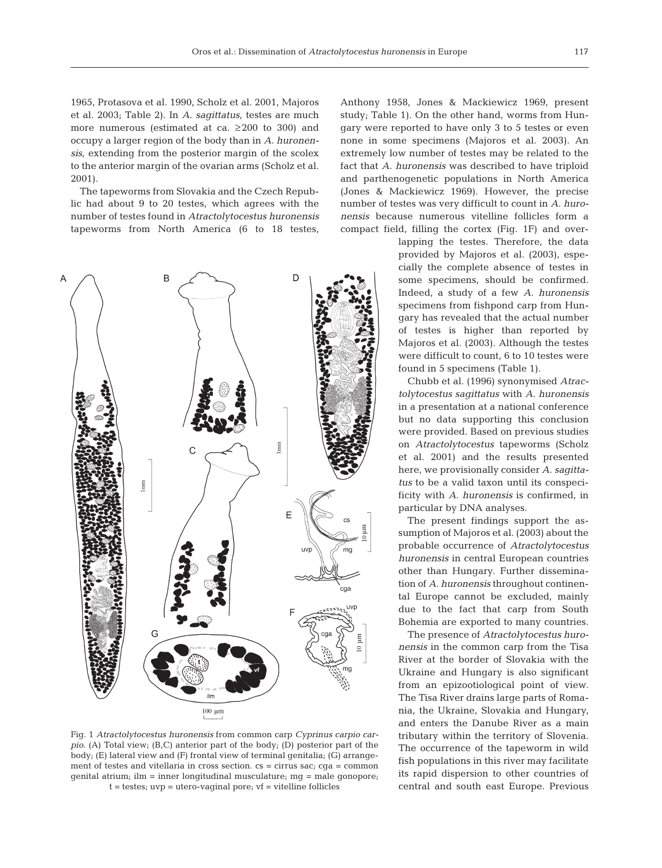1965, Protasova et al. 1990, Scholz et al. 2001, Majoros et al. 2003; Table 2). In *A. sagittatus*, testes are much more numerous (estimated at ca. ≥200 to 300) and occupy a larger region of the body than in *A. huronensis*, extending from the posterior margin of the scolex to the anterior margin of the ovarian arms (Scholz et al. 2001).

The tapeworms from Slovakia and the Czech Republic had about 9 to 20 testes, which agrees with the number of testes found in *Atractolytocestus huronensis* tapeworms from North America (6 to 18 testes,



Fig. 1 *Atractolytocestus huronensis* from common carp *Cyprinus carpio carpio*. (A) Total view; (B,C) anterior part of the body; (D) posterior part of the body; (E) lateral view and (F) frontal view of terminal genitalia; (G) arrangement of testes and vitellaria in cross section. cs = cirrus sac; cga = common genital atrium; ilm = inner longitudinal musculature; mg = male gonopore; t = testes; uvp = utero-vaginal pore; vf = vitelline follicles

Anthony 1958, Jones & Mackiewicz 1969, present study; Table 1). On the other hand, worms from Hungary were reported to have only 3 to 5 testes or even none in some specimens (Majoros et al. 2003). An extremely low number of testes may be related to the fact that *A. huronensis* was described to have triploid and parthenogenetic populations in North America (Jones & Mackiewicz 1969). However, the precise number of testes was very difficult to count in *A. huronensis* because numerous vitelline follicles form a compact field, filling the cortex (Fig. 1F) and over-

> lapping the testes. Therefore, the data provided by Majoros et al. (2003), especially the complete absence of testes in some specimens, should be confirmed. Indeed, a study of a few *A. huronensis* specimens from fishpond carp from Hungary has revealed that the actual number of testes is higher than reported by Majoros et al. (2003). Although the testes were difficult to count, 6 to 10 testes were found in 5 specimens (Table 1).

> Chubb et al. (1996) synonymised *Atractolytocestus sagittatus* with *A. huronensis* in a presentation at a national conference but no data supporting this conclusion were provided. Based on previous studies on *Atractolytocestus* tapeworms (Scholz et al. 2001) and the results presented here, we provisionally consider *A. sagittatus* to be a valid taxon until its conspecificity with *A. huronensis* is confirmed, in particular by DNA analyses.

> The present findings support the assumption of Majoros et al. (2003) about the probable occurrence of *Atractolytocestus huronensis* in central European countries other than Hungary. Further dissemination of *A. huronensis* throughout continental Europe cannot be excluded, mainly due to the fact that carp from South Bohemia are exported to many countries.

> The presence of *Atractolytocestus huronensis* in the common carp from the Tisa River at the border of Slovakia with the Ukraine and Hungary is also significant from an epizootiological point of view. The Tisa River drains large parts of Romania, the Ukraine, Slovakia and Hungary, and enters the Danube River as a main tributary within the territory of Slovenia. The occurrence of the tapeworm in wild fish populations in this river may facilitate its rapid dispersion to other countries of central and south east Europe. Previous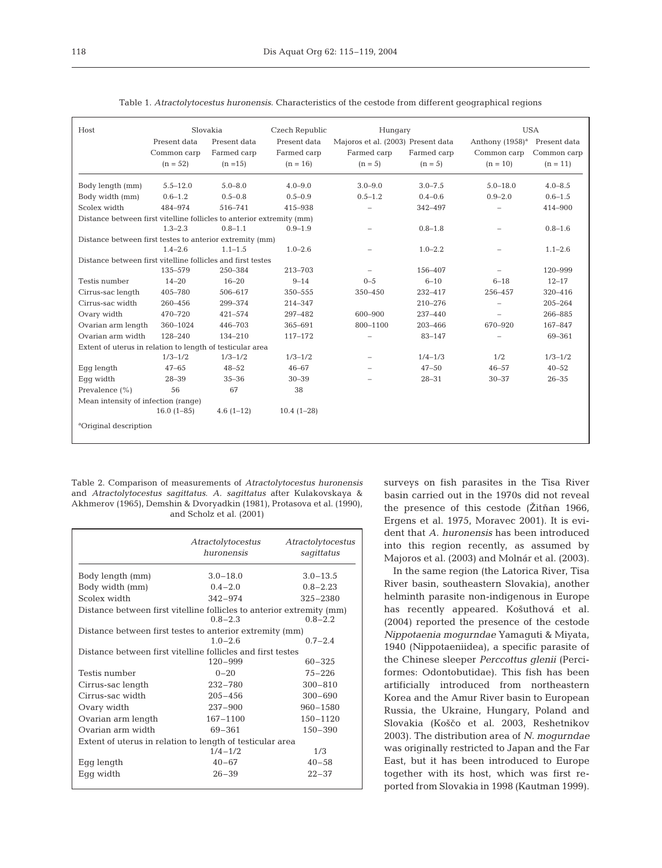| Host                                                                  | Slovakia     |              | Czech Republic | Hungary                            |             | <b>USA</b>                               |             |  |
|-----------------------------------------------------------------------|--------------|--------------|----------------|------------------------------------|-------------|------------------------------------------|-------------|--|
|                                                                       | Present data | Present data | Present data   | Majoros et al. (2003) Present data |             | Anthony (1958) <sup>a</sup> Present data |             |  |
|                                                                       | Common carp  | Farmed carp  | Farmed carp    | Farmed carp                        | Farmed carp | Common carp                              | Common carp |  |
|                                                                       | $(n = 52)$   | $(n = 15)$   | $(n = 16)$     | $(n = 5)$                          | $(n = 5)$   | $(n = 10)$                               | $(n = 11)$  |  |
|                                                                       |              |              |                |                                    |             |                                          |             |  |
| Body length (mm)                                                      | $5.5 - 12.0$ | $5.0 - 8.0$  | $4.0 - 9.0$    | $3.0 - 9.0$                        | $3.0 - 7.5$ | $5.0 - 18.0$                             | $4.0 - 8.5$ |  |
| Body width (mm)                                                       | $0.6 - 1.2$  | $0.5 - 0.8$  | $0.5 - 0.9$    | $0.5 - 1.2$                        | $0.4 - 0.6$ | $0.9 - 2.0$                              | $0.6 - 1.5$ |  |
| Scolex width                                                          | 484-974      | 516-741      | 415-938        |                                    | 342-497     |                                          | 414-900     |  |
| Distance between first vitelline follicles to anterior extremity (mm) |              |              |                |                                    |             |                                          |             |  |
|                                                                       | $1.3 - 2.3$  | $0.8 - 1.1$  | $0.9 - 1.9$    |                                    | $0.8 - 1.8$ |                                          | $0.8 - 1.6$ |  |
| Distance between first testes to anterior extremity (mm)              |              |              |                |                                    |             |                                          |             |  |
|                                                                       | $1.4 - 2.6$  | $1.1 - 1.5$  | $1.0 - 2.6$    |                                    | $1.0 - 2.2$ |                                          | $1.1 - 2.6$ |  |
| Distance between first vitelline follicles and first testes           |              |              |                |                                    |             |                                          |             |  |
|                                                                       | 135-579      | 250-384      | 213-703        |                                    | 156-407     |                                          | 120-999     |  |
| Testis number                                                         | $14 - 20$    | $16 - 20$    | $9 - 14$       | $0 - 5$                            | $6 - 10$    | $6 - 18$                                 | $12 - 17$   |  |
| Cirrus-sac length                                                     | 405-780      | 506-617      | $350 - 555$    | 350-450                            | $232 - 417$ | 256-457                                  | 320-416     |  |
| Cirrus-sac width                                                      | 260-456      | 299-374      | 214-347        |                                    | 210-276     |                                          | 205-264     |  |
| Ovary width                                                           | 470-720      | 421-574      | 297-482        | 600-900                            | 237-440     |                                          | 266-885     |  |
| Ovarian arm length                                                    | 360-1024     | 446-703      | 365-691        | 800-1100                           | 203-466     | 670-920                                  | 167-847     |  |
| Ovarian arm width                                                     | 128-240      | 134-210      | 117-172        |                                    | 83-147      |                                          | 69-361      |  |
| Extent of uterus in relation to length of testicular area             |              |              |                |                                    |             |                                          |             |  |
|                                                                       | $1/3 - 1/2$  | $1/3 - 1/2$  | $1/3 - 1/2$    |                                    | $1/4 - 1/3$ | 1/2                                      | $1/3 - 1/2$ |  |
| Eqq length                                                            | $47 - 65$    | $48 - 52$    | $46 - 67$      |                                    | $47 - 50$   | $46 - 57$                                | $40 - 52$   |  |
| Eqq width                                                             | $28 - 39$    | $35 - 36$    | $30 - 39$      |                                    | $28 - 31$   | $30 - 37$                                | $26 - 35$   |  |
| Prevalence $(\% )$                                                    | 56           | 67           | 38             |                                    |             |                                          |             |  |
| Mean intensity of infection (range)                                   |              |              |                |                                    |             |                                          |             |  |
|                                                                       | $16.0(1-85)$ | $4.6(1-12)$  | $10.4(1-28)$   |                                    |             |                                          |             |  |
| <sup>a</sup> Original description                                     |              |              |                |                                    |             |                                          |             |  |

Table 1. *Atractolytocestus huronensis*. Characteristics of the cestode from different geographical regions

Table 2. Comparison of measurements of *Atractolytocestus huronensis* and *Atractolytocestus sagittatus*. *A. sagittatus* after Kulakovskaya & Akhmerov (1965), Demshin & Dvoryadkin (1981), Protasova et al. (1990), and Scholz et al. (2001)

|                                                                                                     | Atractolytocestus<br>huronensis | Atractolytocestus<br>sagittatus |  |  |  |  |  |
|-----------------------------------------------------------------------------------------------------|---------------------------------|---------------------------------|--|--|--|--|--|
| Body length (mm)                                                                                    | $3.0 - 18.0$                    | $3.0 - 13.5$                    |  |  |  |  |  |
| Body width (mm)                                                                                     | $0.4 - 2.0$                     | $0.8 - 2.23$                    |  |  |  |  |  |
| Scolex width                                                                                        | $342 - 974$                     | $325 - 2380$                    |  |  |  |  |  |
| Distance between first vitelline follicles to anterior extremity (mm)<br>$0.8 - 2.3$<br>$0.8 - 2.2$ |                                 |                                 |  |  |  |  |  |
| Distance between first testes to anterior extremity (mm)<br>$1.0 - 2.6$<br>$0.7 - 2.4$              |                                 |                                 |  |  |  |  |  |
| Distance between first vitelline follicles and first testes                                         |                                 |                                 |  |  |  |  |  |
|                                                                                                     | $120 - 999$                     | $60 - 325$                      |  |  |  |  |  |
| Testis number                                                                                       | $0 - 20$                        | $75 - 226$                      |  |  |  |  |  |
| Cirrus-sac length                                                                                   | $232 - 780$                     | $300 - 810$                     |  |  |  |  |  |
| Cirrus-sac width                                                                                    | $205 - 456$                     | $300 - 690$                     |  |  |  |  |  |
| Ovary width                                                                                         | $237 - 900$                     | 960-1580                        |  |  |  |  |  |
| Ovarian arm length                                                                                  | 167-1100                        | $150 - 1120$                    |  |  |  |  |  |
| Ovarian arm width                                                                                   | 69-361                          | $150 - 390$                     |  |  |  |  |  |
| Extent of uterus in relation to length of testicular area                                           |                                 |                                 |  |  |  |  |  |
|                                                                                                     | $1/4 - 1/2$                     | 1/3                             |  |  |  |  |  |
| Egg length                                                                                          | $40 - 67$                       | $40 - 58$                       |  |  |  |  |  |
| Eqq width                                                                                           | $26 - 39$                       | $22 - 37$                       |  |  |  |  |  |
|                                                                                                     |                                 |                                 |  |  |  |  |  |

surveys on fish parasites in the Tisa River basin carried out in the 1970s did not reveal the presence of this cestode ( $\check{Z}$ itňan 1966, Ergens et al. 1975, Moravec 2001). It is evident that *A. huronensis* has been introduced into this region recently, as assumed by Majoros et al. (2003) and Molnár et al. (2003).

In the same region (the Latorica River, Tisa River basin, southeastern Slovakia), another helminth parasite non-indigenous in Europe has recently appeared. Ko\$uthová et al. (2004) reported the presence of the cestode *Nippotaenia mogurndae* Yamaguti & Miyata, 1940 (Nippotaeniidea), a specific parasite of the Chinese sleeper *Perccottus glenii* (Perciformes: Odontobutidae). This fish has been artificially introduced from northeastern Korea and the Amur River basin to European Russia, the Ukraine, Hungary, Poland and Slovakia (Koščo et al. 2003, Reshetnikov 2003). The distribution area of *N. mogurndae* was originally restricted to Japan and the Far East, but it has been introduced to Europe together with its host, which was first reported from Slovakia in 1998 (Kautman 1999).